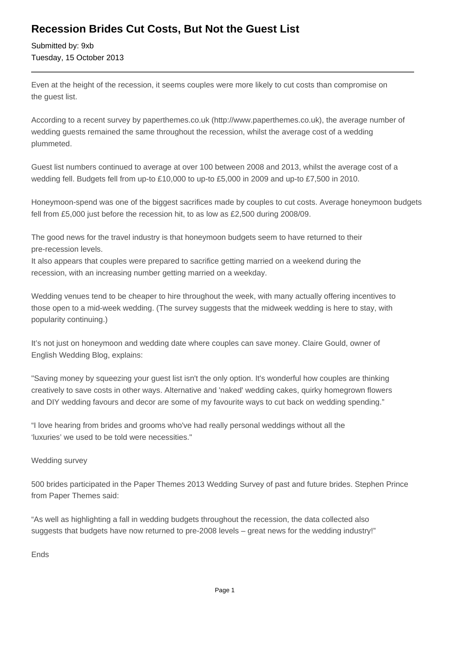## **Recession Brides Cut Costs, But Not the Guest List**

Submitted by: 9xb Tuesday, 15 October 2013

Even at the height of the recession, it seems couples were more likely to cut costs than compromise on the guest list.

According to a recent survey by paperthemes.co.uk (http://www.paperthemes.co.uk), the average number of wedding guests remained the same throughout the recession, whilst the average cost of a wedding plummeted.

Guest list numbers continued to average at over 100 between 2008 and 2013, whilst the average cost of a wedding fell. Budgets fell from up-to £10,000 to up-to £5,000 in 2009 and up-to £7,500 in 2010.

Honeymoon-spend was one of the biggest sacrifices made by couples to cut costs. Average honeymoon budgets fell from £5,000 just before the recession hit, to as low as £2,500 during 2008/09.

The good news for the travel industry is that honeymoon budgets seem to have returned to their pre-recession levels.

It also appears that couples were prepared to sacrifice getting married on a weekend during the recession, with an increasing number getting married on a weekday.

Wedding venues tend to be cheaper to hire throughout the week, with many actually offering incentives to those open to a mid-week wedding. (The survey suggests that the midweek wedding is here to stay, with popularity continuing.)

It's not just on honeymoon and wedding date where couples can save money. Claire Gould, owner of English Wedding Blog, explains:

"Saving money by squeezing your guest list isn't the only option. It's wonderful how couples are thinking creatively to save costs in other ways. Alternative and 'naked' wedding cakes, quirky homegrown flowers and DIY wedding favours and decor are some of my favourite ways to cut back on wedding spending."

"I love hearing from brides and grooms who've had really personal weddings without all the 'luxuries' we used to be told were necessities."

Wedding survey

500 brides participated in the Paper Themes 2013 Wedding Survey of past and future brides. Stephen Prince from Paper Themes said:

"As well as highlighting a fall in wedding budgets throughout the recession, the data collected also suggests that budgets have now returned to pre-2008 levels – great news for the wedding industry!"

Ends